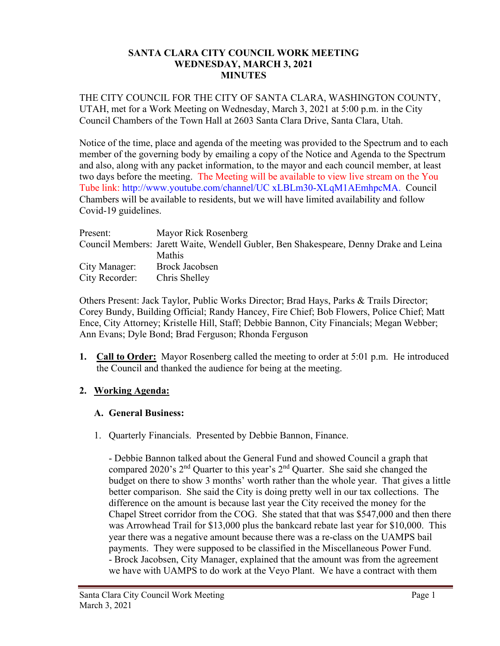#### **SANTA CLARA CITY COUNCIL WORK MEETING WEDNESDAY, MARCH 3, 2021 MINUTES**

THE CITY COUNCIL FOR THE CITY OF SANTA CLARA, WASHINGTON COUNTY, UTAH, met for a Work Meeting on Wednesday, March 3, 2021 at 5:00 p.m. in the City Council Chambers of the Town Hall at 2603 Santa Clara Drive, Santa Clara, Utah.

Notice of the time, place and agenda of the meeting was provided to the Spectrum and to each member of the governing body by emailing a copy of the Notice and Agenda to the Spectrum and also, along with any packet information, to the mayor and each council member, at least two days before the meeting. The Meeting will be available to view live stream on the You Tube link: http://www.youtube.com/channel/UC xLBLm30-XLqM1AEmhpcMA. Council Chambers will be available to residents, but we will have limited availability and follow Covid-19 guidelines.

| Present:       | Mayor Rick Rosenberg                                                                  |
|----------------|---------------------------------------------------------------------------------------|
|                | Council Members: Jarett Waite, Wendell Gubler, Ben Shakespeare, Denny Drake and Leina |
|                | <b>Mathis</b>                                                                         |
| City Manager:  | Brock Jacobsen                                                                        |
| City Recorder: | Chris Shelley                                                                         |

Others Present: Jack Taylor, Public Works Director; Brad Hays, Parks & Trails Director; Corey Bundy, Building Official; Randy Hancey, Fire Chief; Bob Flowers, Police Chief; Matt Ence, City Attorney; Kristelle Hill, Staff; Debbie Bannon, City Financials; Megan Webber; Ann Evans; Dyle Bond; Brad Ferguson; Rhonda Ferguson

**1. Call to Order:** Mayor Rosenberg called the meeting to order at 5:01 p.m. He introduced the Council and thanked the audience for being at the meeting.

### **2. Working Agenda:**

### **A. General Business:**

1. Quarterly Financials. Presented by Debbie Bannon, Finance.

- Debbie Bannon talked about the General Fund and showed Council a graph that compared 2020's 2nd Quarter to this year's 2nd Quarter. She said she changed the budget on there to show 3 months' worth rather than the whole year. That gives a little better comparison. She said the City is doing pretty well in our tax collections. The difference on the amount is because last year the City received the money for the Chapel Street corridor from the COG. She stated that that was \$547,000 and then there was Arrowhead Trail for \$13,000 plus the bankcard rebate last year for \$10,000. This year there was a negative amount because there was a re-class on the UAMPS bail payments. They were supposed to be classified in the Miscellaneous Power Fund. - Brock Jacobsen, City Manager, explained that the amount was from the agreement we have with UAMPS to do work at the Veyo Plant. We have a contract with them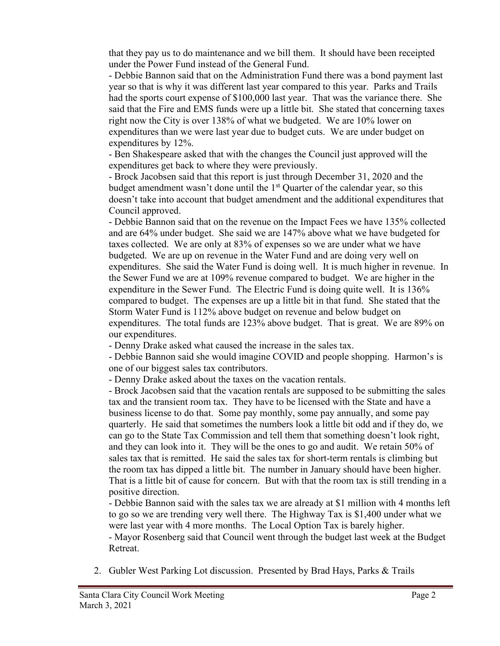that they pay us to do maintenance and we bill them. It should have been receipted under the Power Fund instead of the General Fund.

- Debbie Bannon said that on the Administration Fund there was a bond payment last year so that is why it was different last year compared to this year. Parks and Trails had the sports court expense of \$100,000 last year. That was the variance there. She said that the Fire and EMS funds were up a little bit. She stated that concerning taxes right now the City is over 138% of what we budgeted. We are 10% lower on expenditures than we were last year due to budget cuts. We are under budget on expenditures by 12%.

- Ben Shakespeare asked that with the changes the Council just approved will the expenditures get back to where they were previously.

- Brock Jacobsen said that this report is just through December 31, 2020 and the budget amendment wasn't done until the  $1<sup>st</sup>$  Quarter of the calendar year, so this doesn't take into account that budget amendment and the additional expenditures that Council approved.

- Debbie Bannon said that on the revenue on the Impact Fees we have 135% collected and are 64% under budget. She said we are 147% above what we have budgeted for taxes collected. We are only at 83% of expenses so we are under what we have budgeted. We are up on revenue in the Water Fund and are doing very well on expenditures. She said the Water Fund is doing well. It is much higher in revenue. In the Sewer Fund we are at 109% revenue compared to budget. We are higher in the expenditure in the Sewer Fund. The Electric Fund is doing quite well. It is 136% compared to budget. The expenses are up a little bit in that fund. She stated that the Storm Water Fund is 112% above budget on revenue and below budget on expenditures. The total funds are 123% above budget. That is great. We are 89% on our expenditures.

- Denny Drake asked what caused the increase in the sales tax.

- Debbie Bannon said she would imagine COVID and people shopping. Harmon's is one of our biggest sales tax contributors.

- Denny Drake asked about the taxes on the vacation rentals.

- Brock Jacobsen said that the vacation rentals are supposed to be submitting the sales tax and the transient room tax. They have to be licensed with the State and have a business license to do that. Some pay monthly, some pay annually, and some pay quarterly. He said that sometimes the numbers look a little bit odd and if they do, we can go to the State Tax Commission and tell them that something doesn't look right, and they can look into it. They will be the ones to go and audit. We retain 50% of sales tax that is remitted. He said the sales tax for short-term rentals is climbing but the room tax has dipped a little bit. The number in January should have been higher. That is a little bit of cause for concern. But with that the room tax is still trending in a positive direction.

- Debbie Bannon said with the sales tax we are already at \$1 million with 4 months left to go so we are trending very well there. The Highway Tax is \$1,400 under what we were last year with 4 more months. The Local Option Tax is barely higher.

- Mayor Rosenberg said that Council went through the budget last week at the Budget Retreat.

2. Gubler West Parking Lot discussion. Presented by Brad Hays, Parks & Trails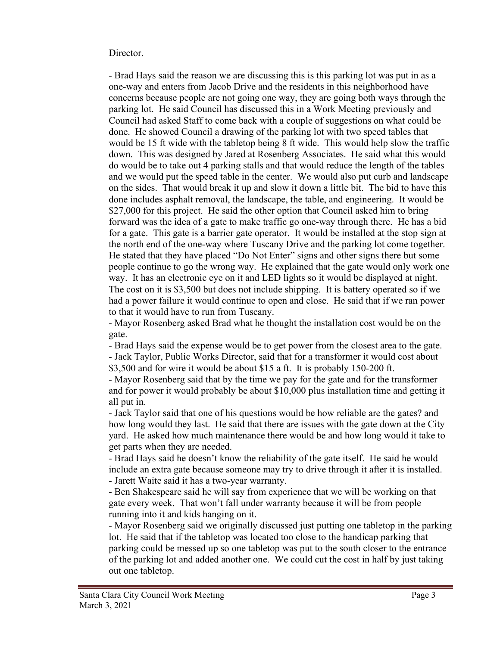#### Director.

- Brad Hays said the reason we are discussing this is this parking lot was put in as a one-way and enters from Jacob Drive and the residents in this neighborhood have concerns because people are not going one way, they are going both ways through the parking lot. He said Council has discussed this in a Work Meeting previously and Council had asked Staff to come back with a couple of suggestions on what could be done. He showed Council a drawing of the parking lot with two speed tables that would be 15 ft wide with the tabletop being 8 ft wide. This would help slow the traffic down. This was designed by Jared at Rosenberg Associates. He said what this would do would be to take out 4 parking stalls and that would reduce the length of the tables and we would put the speed table in the center. We would also put curb and landscape on the sides. That would break it up and slow it down a little bit. The bid to have this done includes asphalt removal, the landscape, the table, and engineering. It would be \$27,000 for this project. He said the other option that Council asked him to bring forward was the idea of a gate to make traffic go one-way through there. He has a bid for a gate. This gate is a barrier gate operator. It would be installed at the stop sign at the north end of the one-way where Tuscany Drive and the parking lot come together. He stated that they have placed "Do Not Enter" signs and other signs there but some people continue to go the wrong way. He explained that the gate would only work one way. It has an electronic eye on it and LED lights so it would be displayed at night. The cost on it is \$3,500 but does not include shipping. It is battery operated so if we had a power failure it would continue to open and close. He said that if we ran power to that it would have to run from Tuscany.

- Mayor Rosenberg asked Brad what he thought the installation cost would be on the gate.

- Brad Hays said the expense would be to get power from the closest area to the gate. - Jack Taylor, Public Works Director, said that for a transformer it would cost about \$3,500 and for wire it would be about \$15 a ft. It is probably 150-200 ft.

- Mayor Rosenberg said that by the time we pay for the gate and for the transformer and for power it would probably be about \$10,000 plus installation time and getting it all put in.

- Jack Taylor said that one of his questions would be how reliable are the gates? and how long would they last. He said that there are issues with the gate down at the City yard. He asked how much maintenance there would be and how long would it take to get parts when they are needed.

- Brad Hays said he doesn't know the reliability of the gate itself. He said he would include an extra gate because someone may try to drive through it after it is installed. - Jarett Waite said it has a two-year warranty.

- Ben Shakespeare said he will say from experience that we will be working on that gate every week. That won't fall under warranty because it will be from people running into it and kids hanging on it.

- Mayor Rosenberg said we originally discussed just putting one tabletop in the parking lot. He said that if the tabletop was located too close to the handicap parking that parking could be messed up so one tabletop was put to the south closer to the entrance of the parking lot and added another one. We could cut the cost in half by just taking out one tabletop.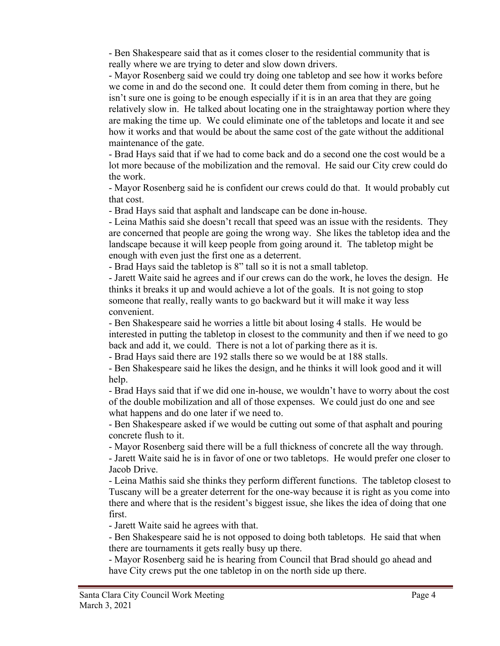- Ben Shakespeare said that as it comes closer to the residential community that is really where we are trying to deter and slow down drivers.

- Mayor Rosenberg said we could try doing one tabletop and see how it works before we come in and do the second one. It could deter them from coming in there, but he isn't sure one is going to be enough especially if it is in an area that they are going relatively slow in. He talked about locating one in the straightaway portion where they are making the time up. We could eliminate one of the tabletops and locate it and see how it works and that would be about the same cost of the gate without the additional maintenance of the gate.

- Brad Hays said that if we had to come back and do a second one the cost would be a lot more because of the mobilization and the removal. He said our City crew could do the work.

- Mayor Rosenberg said he is confident our crews could do that. It would probably cut that cost.

- Brad Hays said that asphalt and landscape can be done in-house.

- Leina Mathis said she doesn't recall that speed was an issue with the residents. They are concerned that people are going the wrong way. She likes the tabletop idea and the landscape because it will keep people from going around it. The tabletop might be enough with even just the first one as a deterrent.

- Brad Hays said the tabletop is 8" tall so it is not a small tabletop.

- Jarett Waite said he agrees and if our crews can do the work, he loves the design. He thinks it breaks it up and would achieve a lot of the goals. It is not going to stop someone that really, really wants to go backward but it will make it way less convenient.

- Ben Shakespeare said he worries a little bit about losing 4 stalls. He would be interested in putting the tabletop in closest to the community and then if we need to go back and add it, we could. There is not a lot of parking there as it is.

- Brad Hays said there are 192 stalls there so we would be at 188 stalls.

- Ben Shakespeare said he likes the design, and he thinks it will look good and it will help.

- Brad Hays said that if we did one in-house, we wouldn't have to worry about the cost of the double mobilization and all of those expenses. We could just do one and see what happens and do one later if we need to.

- Ben Shakespeare asked if we would be cutting out some of that asphalt and pouring concrete flush to it.

- Mayor Rosenberg said there will be a full thickness of concrete all the way through.

- Jarett Waite said he is in favor of one or two tabletops. He would prefer one closer to Jacob Drive.

- Leina Mathis said she thinks they perform different functions. The tabletop closest to Tuscany will be a greater deterrent for the one-way because it is right as you come into there and where that is the resident's biggest issue, she likes the idea of doing that one first.

- Jarett Waite said he agrees with that.

- Ben Shakespeare said he is not opposed to doing both tabletops. He said that when there are tournaments it gets really busy up there.

- Mayor Rosenberg said he is hearing from Council that Brad should go ahead and have City crews put the one tabletop in on the north side up there.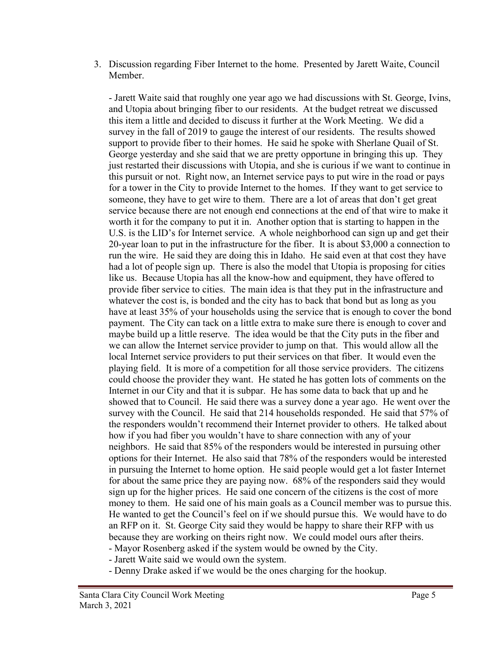3. Discussion regarding Fiber Internet to the home. Presented by Jarett Waite, Council Member.

- Jarett Waite said that roughly one year ago we had discussions with St. George, Ivins, and Utopia about bringing fiber to our residents. At the budget retreat we discussed this item a little and decided to discuss it further at the Work Meeting. We did a survey in the fall of 2019 to gauge the interest of our residents. The results showed support to provide fiber to their homes. He said he spoke with Sherlane Quail of St. George yesterday and she said that we are pretty opportune in bringing this up. They just restarted their discussions with Utopia, and she is curious if we want to continue in this pursuit or not. Right now, an Internet service pays to put wire in the road or pays for a tower in the City to provide Internet to the homes. If they want to get service to someone, they have to get wire to them. There are a lot of areas that don't get great service because there are not enough end connections at the end of that wire to make it worth it for the company to put it in. Another option that is starting to happen in the U.S. is the LID's for Internet service. A whole neighborhood can sign up and get their 20-year loan to put in the infrastructure for the fiber. It is about \$3,000 a connection to run the wire. He said they are doing this in Idaho. He said even at that cost they have had a lot of people sign up. There is also the model that Utopia is proposing for cities like us. Because Utopia has all the know-how and equipment, they have offered to provide fiber service to cities. The main idea is that they put in the infrastructure and whatever the cost is, is bonded and the city has to back that bond but as long as you have at least 35% of your households using the service that is enough to cover the bond payment. The City can tack on a little extra to make sure there is enough to cover and maybe build up a little reserve. The idea would be that the City puts in the fiber and we can allow the Internet service provider to jump on that. This would allow all the local Internet service providers to put their services on that fiber. It would even the playing field. It is more of a competition for all those service providers. The citizens could choose the provider they want. He stated he has gotten lots of comments on the Internet in our City and that it is subpar. He has some data to back that up and he showed that to Council. He said there was a survey done a year ago. He went over the survey with the Council. He said that 214 households responded. He said that 57% of the responders wouldn't recommend their Internet provider to others. He talked about how if you had fiber you wouldn't have to share connection with any of your neighbors. He said that 85% of the responders would be interested in pursuing other options for their Internet. He also said that 78% of the responders would be interested in pursuing the Internet to home option. He said people would get a lot faster Internet for about the same price they are paying now. 68% of the responders said they would sign up for the higher prices. He said one concern of the citizens is the cost of more money to them. He said one of his main goals as a Council member was to pursue this. He wanted to get the Council's feel on if we should pursue this. We would have to do an RFP on it. St. George City said they would be happy to share their RFP with us because they are working on theirs right now. We could model ours after theirs. - Mayor Rosenberg asked if the system would be owned by the City.

- Jarett Waite said we would own the system.
- Denny Drake asked if we would be the ones charging for the hookup.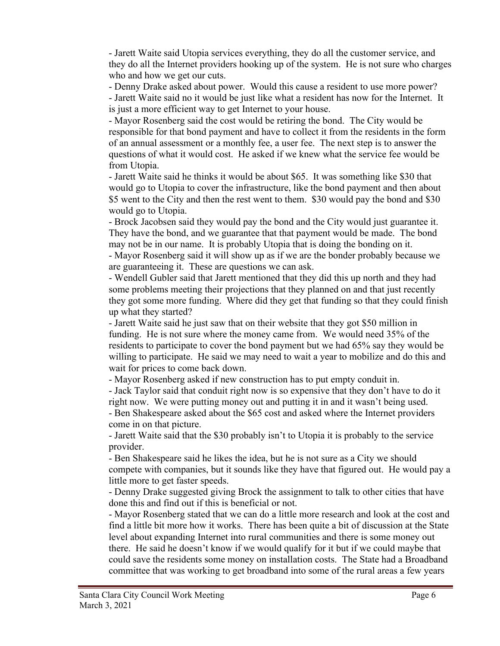- Jarett Waite said Utopia services everything, they do all the customer service, and they do all the Internet providers hooking up of the system. He is not sure who charges who and how we get our cuts.

- Denny Drake asked about power. Would this cause a resident to use more power? - Jarett Waite said no it would be just like what a resident has now for the Internet. It is just a more efficient way to get Internet to your house.

- Mayor Rosenberg said the cost would be retiring the bond. The City would be responsible for that bond payment and have to collect it from the residents in the form of an annual assessment or a monthly fee, a user fee. The next step is to answer the questions of what it would cost. He asked if we knew what the service fee would be from Utopia.

- Jarett Waite said he thinks it would be about \$65. It was something like \$30 that would go to Utopia to cover the infrastructure, like the bond payment and then about \$5 went to the City and then the rest went to them. \$30 would pay the bond and \$30 would go to Utopia.

- Brock Jacobsen said they would pay the bond and the City would just guarantee it. They have the bond, and we guarantee that that payment would be made. The bond may not be in our name. It is probably Utopia that is doing the bonding on it.

- Mayor Rosenberg said it will show up as if we are the bonder probably because we are guaranteeing it. These are questions we can ask.

- Wendell Gubler said that Jarett mentioned that they did this up north and they had some problems meeting their projections that they planned on and that just recently they got some more funding. Where did they get that funding so that they could finish up what they started?

- Jarett Waite said he just saw that on their website that they got \$50 million in funding. He is not sure where the money came from. We would need 35% of the residents to participate to cover the bond payment but we had 65% say they would be willing to participate. He said we may need to wait a year to mobilize and do this and wait for prices to come back down.

- Mayor Rosenberg asked if new construction has to put empty conduit in.

- Jack Taylor said that conduit right now is so expensive that they don't have to do it right now. We were putting money out and putting it in and it wasn't being used. - Ben Shakespeare asked about the \$65 cost and asked where the Internet providers come in on that picture.

- Jarett Waite said that the \$30 probably isn't to Utopia it is probably to the service provider.

- Ben Shakespeare said he likes the idea, but he is not sure as a City we should compete with companies, but it sounds like they have that figured out. He would pay a little more to get faster speeds.

- Denny Drake suggested giving Brock the assignment to talk to other cities that have done this and find out if this is beneficial or not.

- Mayor Rosenberg stated that we can do a little more research and look at the cost and find a little bit more how it works. There has been quite a bit of discussion at the State level about expanding Internet into rural communities and there is some money out there. He said he doesn't know if we would qualify for it but if we could maybe that could save the residents some money on installation costs. The State had a Broadband committee that was working to get broadband into some of the rural areas a few years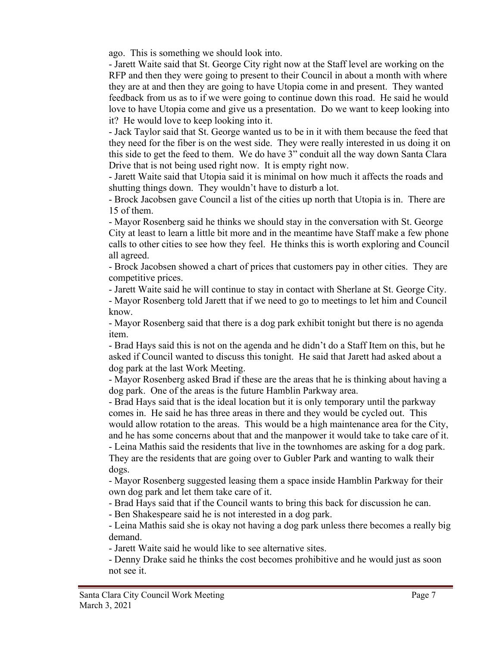ago. This is something we should look into.

- Jarett Waite said that St. George City right now at the Staff level are working on the RFP and then they were going to present to their Council in about a month with where they are at and then they are going to have Utopia come in and present. They wanted feedback from us as to if we were going to continue down this road. He said he would love to have Utopia come and give us a presentation. Do we want to keep looking into it? He would love to keep looking into it.

- Jack Taylor said that St. George wanted us to be in it with them because the feed that they need for the fiber is on the west side. They were really interested in us doing it on this side to get the feed to them. We do have 3" conduit all the way down Santa Clara Drive that is not being used right now. It is empty right now.

- Jarett Waite said that Utopia said it is minimal on how much it affects the roads and shutting things down. They wouldn't have to disturb a lot.

- Brock Jacobsen gave Council a list of the cities up north that Utopia is in. There are 15 of them.

- Mayor Rosenberg said he thinks we should stay in the conversation with St. George City at least to learn a little bit more and in the meantime have Staff make a few phone calls to other cities to see how they feel. He thinks this is worth exploring and Council all agreed.

- Brock Jacobsen showed a chart of prices that customers pay in other cities. They are competitive prices.

- Jarett Waite said he will continue to stay in contact with Sherlane at St. George City. - Mayor Rosenberg told Jarett that if we need to go to meetings to let him and Council know.

- Mayor Rosenberg said that there is a dog park exhibit tonight but there is no agenda item.

- Brad Hays said this is not on the agenda and he didn't do a Staff Item on this, but he asked if Council wanted to discuss this tonight. He said that Jarett had asked about a dog park at the last Work Meeting.

- Mayor Rosenberg asked Brad if these are the areas that he is thinking about having a dog park. One of the areas is the future Hamblin Parkway area.

- Brad Hays said that is the ideal location but it is only temporary until the parkway comes in. He said he has three areas in there and they would be cycled out. This would allow rotation to the areas. This would be a high maintenance area for the City, and he has some concerns about that and the manpower it would take to take care of it.

- Leina Mathis said the residents that live in the townhomes are asking for a dog park. They are the residents that are going over to Gubler Park and wanting to walk their dogs.

- Mayor Rosenberg suggested leasing them a space inside Hamblin Parkway for their own dog park and let them take care of it.

- Brad Hays said that if the Council wants to bring this back for discussion he can.

- Ben Shakespeare said he is not interested in a dog park.

- Leina Mathis said she is okay not having a dog park unless there becomes a really big demand.

- Jarett Waite said he would like to see alternative sites.

- Denny Drake said he thinks the cost becomes prohibitive and he would just as soon not see it.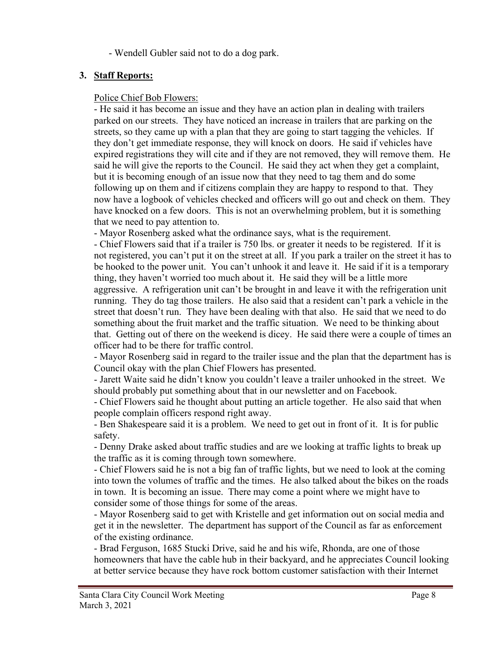- Wendell Gubler said not to do a dog park.

# **3. Staff Reports:**

## Police Chief Bob Flowers:

- He said it has become an issue and they have an action plan in dealing with trailers parked on our streets. They have noticed an increase in trailers that are parking on the streets, so they came up with a plan that they are going to start tagging the vehicles. If they don't get immediate response, they will knock on doors. He said if vehicles have expired registrations they will cite and if they are not removed, they will remove them. He said he will give the reports to the Council. He said they act when they get a complaint, but it is becoming enough of an issue now that they need to tag them and do some following up on them and if citizens complain they are happy to respond to that. They now have a logbook of vehicles checked and officers will go out and check on them. They have knocked on a few doors. This is not an overwhelming problem, but it is something that we need to pay attention to.

- Mayor Rosenberg asked what the ordinance says, what is the requirement.

- Chief Flowers said that if a trailer is 750 lbs. or greater it needs to be registered. If it is not registered, you can't put it on the street at all. If you park a trailer on the street it has to be hooked to the power unit. You can't unhook it and leave it. He said if it is a temporary thing, they haven't worried too much about it. He said they will be a little more aggressive. A refrigeration unit can't be brought in and leave it with the refrigeration unit running. They do tag those trailers. He also said that a resident can't park a vehicle in the street that doesn't run. They have been dealing with that also. He said that we need to do something about the fruit market and the traffic situation. We need to be thinking about that. Getting out of there on the weekend is dicey. He said there were a couple of times an officer had to be there for traffic control.

- Mayor Rosenberg said in regard to the trailer issue and the plan that the department has is Council okay with the plan Chief Flowers has presented.

- Jarett Waite said he didn't know you couldn't leave a trailer unhooked in the street. We should probably put something about that in our newsletter and on Facebook.

- Chief Flowers said he thought about putting an article together. He also said that when people complain officers respond right away.

- Ben Shakespeare said it is a problem. We need to get out in front of it. It is for public safety.

- Denny Drake asked about traffic studies and are we looking at traffic lights to break up the traffic as it is coming through town somewhere.

- Chief Flowers said he is not a big fan of traffic lights, but we need to look at the coming into town the volumes of traffic and the times. He also talked about the bikes on the roads in town. It is becoming an issue. There may come a point where we might have to consider some of those things for some of the areas.

- Mayor Rosenberg said to get with Kristelle and get information out on social media and get it in the newsletter. The department has support of the Council as far as enforcement of the existing ordinance.

- Brad Ferguson, 1685 Stucki Drive, said he and his wife, Rhonda, are one of those homeowners that have the cable hub in their backyard, and he appreciates Council looking at better service because they have rock bottom customer satisfaction with their Internet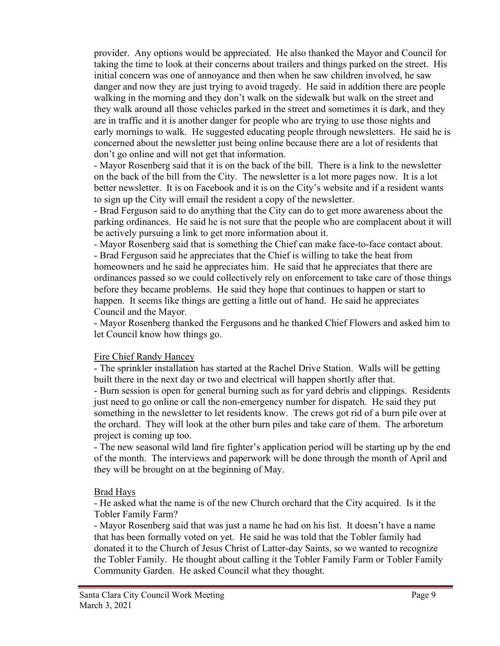provider. Any options would be appreciated. He also thanked the Mayor and Council for taking the time to look at their concerns about trailers and things parked on the street. His initial concern was one of annoyance and then when he saw children involved, he saw danger and now they are just trying to avoid tragedy. He said in addition there are people walking in the morning and they don't walk on the sidewalk but walk on the street and they walk around all those vehicles parked in the street and sometimes it is dark, and they are in traffic and it is another danger for people who are trying to use those nights and early mornings to walk. He suggested educating people through newsletters. He said he is concerned about the newsletter just being online because there are a lot of residents that don't go online and will not get that information.

- Mayor Rosenberg said that it is on the back of the bill. There is a link to the newsletter on the back of the bill from the City. The newsletter is a lot more pages now. It is a lot better newsletter. It is on Facebook and it is on the City's website and if a resident wants to sign up the City will email the resident a copy of the newsletter.

- Brad Ferguson said to do anything that the City can do to get more awareness about the parking ordinances. He said he is not sure that the people who are complacent about it will be actively pursuing a link to get more information about it.

- Mayor Rosenberg said that is something the Chief can make face-to-face contact about. - Brad Ferguson said he appreciates that the Chief is willing to take the heat from homeowners and he said he appreciates him. He said that he appreciates that there are ordinances passed so we could collectively rely on enforcement to take care of those things before they became problems. He said they hope that continues to happen or start to happen. It seems like things are getting a little out of hand. He said he appreciates Council and the Mayor.

- Mayor Rosenberg thanked the Fergusons and he thanked Chief Flowers and asked him to let Council know how things go.

### Fire Chief Randy Hancey

- The sprinkler installation has started at the Rachel Drive Station. Walls will be getting built there in the next day or two and electrical will happen shortly after that.

- Burn session is open for general burning such as for yard debris and clippings. Residents just need to go online or call the non-emergency number for dispatch. He said they put something in the newsletter to let residents know. The crews got rid of a burn pile over at the orchard. They will look at the other burn piles and take care of them. The arboretum project is coming up too.

- The new seasonal wild land fire fighter's application period will be starting up by the end of the month. The interviews and paperwork will be done through the month of April and they will be brought on at the beginning of May.

### Brad Hays

- He asked what the name is of the new Church orchard that the City acquired. Is it the Tobler Family Farm?

- Mayor Rosenberg said that was just a name he had on his list. It doesn't have a name that has been formally voted on yet. He said he was told that the Tobler family had donated it to the Church of Jesus Christ of Latter-day Saints, so we wanted to recognize the Tobler Family. He thought about calling it the Tobler Family Farm or Tobler Family Community Garden. He asked Council what they thought.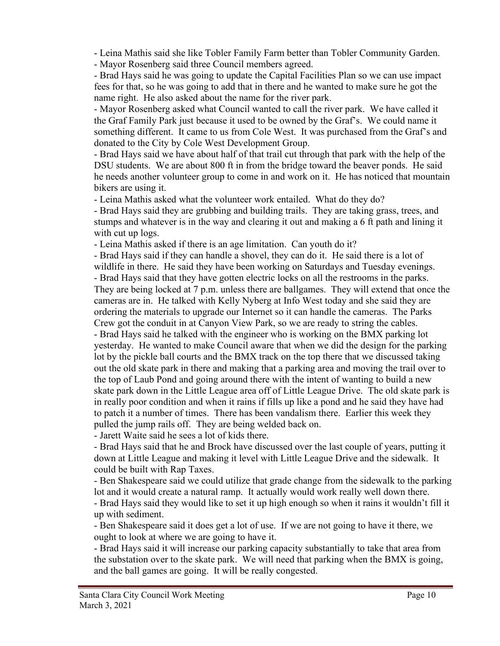- Leina Mathis said she like Tobler Family Farm better than Tobler Community Garden.

- Mayor Rosenberg said three Council members agreed.

- Brad Hays said he was going to update the Capital Facilities Plan so we can use impact fees for that, so he was going to add that in there and he wanted to make sure he got the name right. He also asked about the name for the river park.

- Mayor Rosenberg asked what Council wanted to call the river park. We have called it the Graf Family Park just because it used to be owned by the Graf's. We could name it something different. It came to us from Cole West. It was purchased from the Graf's and donated to the City by Cole West Development Group.

- Brad Hays said we have about half of that trail cut through that park with the help of the DSU students. We are about 800 ft in from the bridge toward the beaver ponds. He said he needs another volunteer group to come in and work on it. He has noticed that mountain bikers are using it.

- Leina Mathis asked what the volunteer work entailed. What do they do?

- Brad Hays said they are grubbing and building trails. They are taking grass, trees, and stumps and whatever is in the way and clearing it out and making a 6 ft path and lining it with cut up logs.

- Leina Mathis asked if there is an age limitation. Can youth do it?

- Brad Hays said if they can handle a shovel, they can do it. He said there is a lot of wildlife in there. He said they have been working on Saturdays and Tuesday evenings. - Brad Hays said that they have gotten electric locks on all the restrooms in the parks. They are being locked at 7 p.m. unless there are ballgames. They will extend that once the cameras are in. He talked with Kelly Nyberg at Info West today and she said they are ordering the materials to upgrade our Internet so it can handle the cameras. The Parks Crew got the conduit in at Canyon View Park, so we are ready to string the cables.

- Brad Hays said he talked with the engineer who is working on the BMX parking lot yesterday. He wanted to make Council aware that when we did the design for the parking lot by the pickle ball courts and the BMX track on the top there that we discussed taking out the old skate park in there and making that a parking area and moving the trail over to the top of Laub Pond and going around there with the intent of wanting to build a new skate park down in the Little League area off of Little League Drive. The old skate park is in really poor condition and when it rains if fills up like a pond and he said they have had to patch it a number of times. There has been vandalism there. Earlier this week they pulled the jump rails off. They are being welded back on.

- Jarett Waite said he sees a lot of kids there.

- Brad Hays said that he and Brock have discussed over the last couple of years, putting it down at Little League and making it level with Little League Drive and the sidewalk. It could be built with Rap Taxes.

- Ben Shakespeare said we could utilize that grade change from the sidewalk to the parking lot and it would create a natural ramp. It actually would work really well down there.

- Brad Hays said they would like to set it up high enough so when it rains it wouldn't fill it up with sediment.

- Ben Shakespeare said it does get a lot of use. If we are not going to have it there, we ought to look at where we are going to have it.

- Brad Hays said it will increase our parking capacity substantially to take that area from the substation over to the skate park. We will need that parking when the BMX is going, and the ball games are going. It will be really congested.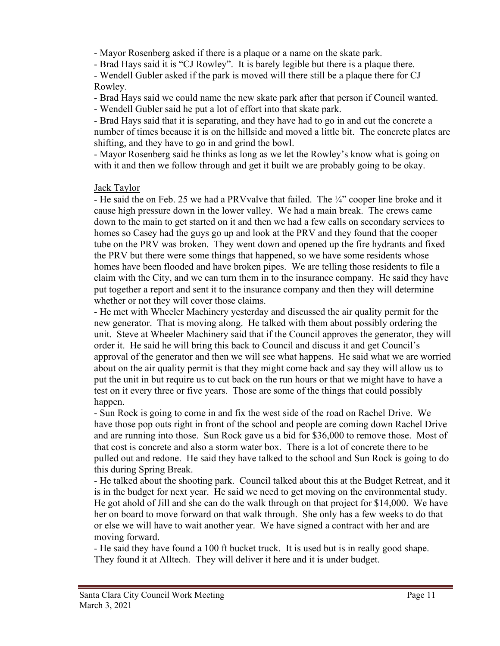- Mayor Rosenberg asked if there is a plaque or a name on the skate park.

- Brad Hays said it is "CJ Rowley". It is barely legible but there is a plaque there.

- Wendell Gubler asked if the park is moved will there still be a plaque there for CJ Rowley.

- Brad Hays said we could name the new skate park after that person if Council wanted.

- Wendell Gubler said he put a lot of effort into that skate park.

- Brad Hays said that it is separating, and they have had to go in and cut the concrete a number of times because it is on the hillside and moved a little bit. The concrete plates are shifting, and they have to go in and grind the bowl.

- Mayor Rosenberg said he thinks as long as we let the Rowley's know what is going on with it and then we follow through and get it built we are probably going to be okay.

### Jack Taylor

- He said the on Feb. 25 we had a PRV valve that failed. The  $\frac{1}{4}$ " cooper line broke and it cause high pressure down in the lower valley. We had a main break. The crews came down to the main to get started on it and then we had a few calls on secondary services to homes so Casey had the guys go up and look at the PRV and they found that the cooper tube on the PRV was broken. They went down and opened up the fire hydrants and fixed the PRV but there were some things that happened, so we have some residents whose homes have been flooded and have broken pipes. We are telling those residents to file a claim with the City, and we can turn them in to the insurance company. He said they have put together a report and sent it to the insurance company and then they will determine whether or not they will cover those claims.

- He met with Wheeler Machinery yesterday and discussed the air quality permit for the new generator. That is moving along. He talked with them about possibly ordering the unit. Steve at Wheeler Machinery said that if the Council approves the generator, they will order it. He said he will bring this back to Council and discuss it and get Council's approval of the generator and then we will see what happens. He said what we are worried about on the air quality permit is that they might come back and say they will allow us to put the unit in but require us to cut back on the run hours or that we might have to have a test on it every three or five years. Those are some of the things that could possibly happen.

- Sun Rock is going to come in and fix the west side of the road on Rachel Drive. We have those pop outs right in front of the school and people are coming down Rachel Drive and are running into those. Sun Rock gave us a bid for \$36,000 to remove those. Most of that cost is concrete and also a storm water box. There is a lot of concrete there to be pulled out and redone. He said they have talked to the school and Sun Rock is going to do this during Spring Break.

- He talked about the shooting park. Council talked about this at the Budget Retreat, and it is in the budget for next year. He said we need to get moving on the environmental study. He got ahold of Jill and she can do the walk through on that project for \$14,000. We have her on board to move forward on that walk through. She only has a few weeks to do that or else we will have to wait another year. We have signed a contract with her and are moving forward.

- He said they have found a 100 ft bucket truck. It is used but is in really good shape. They found it at Alltech. They will deliver it here and it is under budget.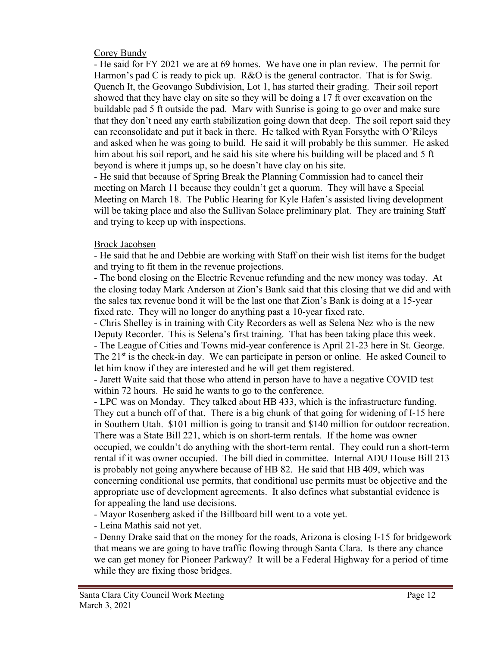### Corey Bundy

- He said for FY 2021 we are at 69 homes. We have one in plan review. The permit for Harmon's pad C is ready to pick up. R&O is the general contractor. That is for Swig. Quench It, the Geovango Subdivision, Lot 1, has started their grading. Their soil report showed that they have clay on site so they will be doing a 17 ft over excavation on the buildable pad 5 ft outside the pad. Marv with Sunrise is going to go over and make sure that they don't need any earth stabilization going down that deep. The soil report said they can reconsolidate and put it back in there. He talked with Ryan Forsythe with O'Rileys and asked when he was going to build. He said it will probably be this summer. He asked him about his soil report, and he said his site where his building will be placed and 5 ft beyond is where it jumps up, so he doesn't have clay on his site.

- He said that because of Spring Break the Planning Commission had to cancel their meeting on March 11 because they couldn't get a quorum. They will have a Special Meeting on March 18. The Public Hearing for Kyle Hafen's assisted living development will be taking place and also the Sullivan Solace preliminary plat. They are training Staff and trying to keep up with inspections.

### Brock Jacobsen

- He said that he and Debbie are working with Staff on their wish list items for the budget and trying to fit them in the revenue projections.

- The bond closing on the Electric Revenue refunding and the new money was today. At the closing today Mark Anderson at Zion's Bank said that this closing that we did and with the sales tax revenue bond it will be the last one that Zion's Bank is doing at a 15-year fixed rate. They will no longer do anything past a 10-year fixed rate.

- Chris Shelley is in training with City Recorders as well as Selena Nez who is the new Deputy Recorder. This is Selena's first training. That has been taking place this week. - The League of Cities and Towns mid-year conference is April 21-23 here in St. George. The  $21<sup>st</sup>$  is the check-in day. We can participate in person or online. He asked Council to let him know if they are interested and he will get them registered.

- Jarett Waite said that those who attend in person have to have a negative COVID test within 72 hours. He said he wants to go to the conference.

- LPC was on Monday. They talked about HB 433, which is the infrastructure funding. They cut a bunch off of that. There is a big chunk of that going for widening of I-15 here in Southern Utah. \$101 million is going to transit and \$140 million for outdoor recreation. There was a State Bill 221, which is on short-term rentals. If the home was owner occupied, we couldn't do anything with the short-term rental. They could run a short-term rental if it was owner occupied. The bill died in committee. Internal ADU House Bill 213 is probably not going anywhere because of HB 82. He said that HB 409, which was concerning conditional use permits, that conditional use permits must be objective and the appropriate use of development agreements. It also defines what substantial evidence is for appealing the land use decisions.

- Mayor Rosenberg asked if the Billboard bill went to a vote yet.

- Leina Mathis said not yet.

- Denny Drake said that on the money for the roads, Arizona is closing I-15 for bridgework that means we are going to have traffic flowing through Santa Clara. Is there any chance we can get money for Pioneer Parkway? It will be a Federal Highway for a period of time while they are fixing those bridges.